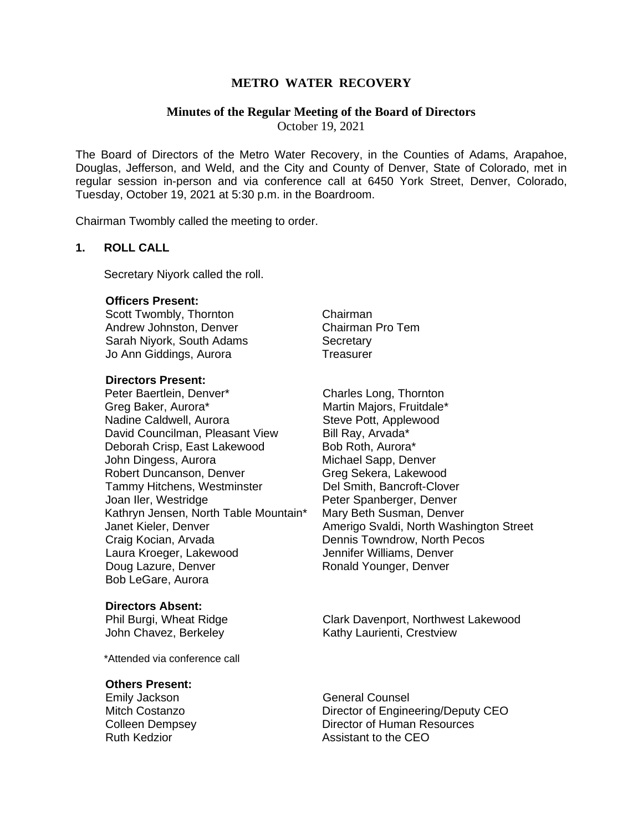# **METRO WATER RECOVERY**

# **Minutes of the Regular Meeting of the Board of Directors**

October 19, 2021

The Board of Directors of the Metro Water Recovery, in the Counties of Adams, Arapahoe, Douglas, Jefferson, and Weld, and the City and County of Denver, State of Colorado, met in regular session in-person and via conference call at 6450 York Street, Denver, Colorado, Tuesday, October 19, 2021 at 5:30 p.m. in the Boardroom.

Chairman Twombly called the meeting to order.

# **1. ROLL CALL**

Secretary Niyork called the roll.

# **Officers Present:**

Scott Twombly, Thornton Chairman Andrew Johnston, Denver Chairman Pro Tem Sarah Niyork, South Adams Secretary Jo Ann Giddings, Aurora **Treasurer** 

## **Directors Present:**

Peter Baertlein, Denver\* Charles Long, Thornton Greg Baker, Aurora\* The Martin Majors, Fruitdale\* Nadine Caldwell, Aurora Steve Pott, Applewood David Councilman, Pleasant View Bill Ray, Arvada\* Deborah Crisp, East Lakewood Bob Roth, Aurora\* John Dingess, Aurora Michael Sapp, Denver Robert Duncanson, Denver Greg Sekera, Lakewood Tammy Hitchens, Westminster Del Smith, Bancroft-Clover Joan Iler, Westridge **National State Spanderger, Denver** Kathryn Jensen, North Table Mountain\* Mary Beth Susman, Denver Craig Kocian, Arvada **Dennis Towndrow, North Pecos** Laura Kroeger, Lakewood Jennifer Williams, Denver Doug Lazure, Denver **Ronald Younger**, Denver Bob LeGare, Aurora

#### **Directors Absent:**

\*Attended via conference call

#### **Others Present:**

Janet Kieler, Denver Amerigo Svaldi, North Washington Street

Phil Burgi, Wheat Ridge Clark Davenport, Northwest Lakewood John Chavez, Berkeley **Kathy Laurienti, Crestview** 

Emily Jackson **General Counsel** Mitch Costanzo Director of Engineering/Deputy CEO Colleen Dempsey **Director of Human Resources** Ruth Kedzior **Assistant to the CEO**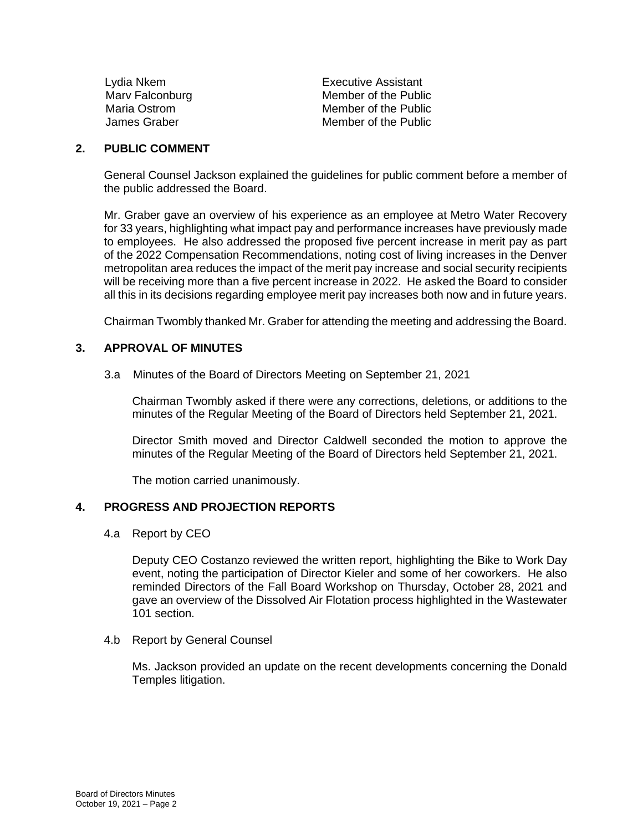| Lydia Nkem      | Executive Assistant  |
|-----------------|----------------------|
| Marv Falconburg | Member of the Public |
| Maria Ostrom    | Member of the Public |
| James Graber    | Member of the Public |
|                 |                      |

# **2. PUBLIC COMMENT**

General Counsel Jackson explained the guidelines for public comment before a member of the public addressed the Board.

Mr. Graber gave an overview of his experience as an employee at Metro Water Recovery for 33 years, highlighting what impact pay and performance increases have previously made to employees. He also addressed the proposed five percent increase in merit pay as part of the 2022 Compensation Recommendations, noting cost of living increases in the Denver metropolitan area reduces the impact of the merit pay increase and social security recipients will be receiving more than a five percent increase in 2022. He asked the Board to consider all this in its decisions regarding employee merit pay increases both now and in future years.

Chairman Twombly thanked Mr. Graber for attending the meeting and addressing the Board.

# **3. APPROVAL OF MINUTES**

3.a Minutes of the Board of Directors Meeting on September 21, 2021

Chairman Twombly asked if there were any corrections, deletions, or additions to the minutes of the Regular Meeting of the Board of Directors held September 21, 2021.

Director Smith moved and Director Caldwell seconded the motion to approve the minutes of the Regular Meeting of the Board of Directors held September 21, 2021.

The motion carried unanimously.

# **4. PROGRESS AND PROJECTION REPORTS**

4.a Report by CEO

Deputy CEO Costanzo reviewed the written report, highlighting the Bike to Work Day event, noting the participation of Director Kieler and some of her coworkers. He also reminded Directors of the Fall Board Workshop on Thursday, October 28, 2021 and gave an overview of the Dissolved Air Flotation process highlighted in the Wastewater 101 section.

4.b Report by General Counsel

Ms. Jackson provided an update on the recent developments concerning the Donald Temples litigation.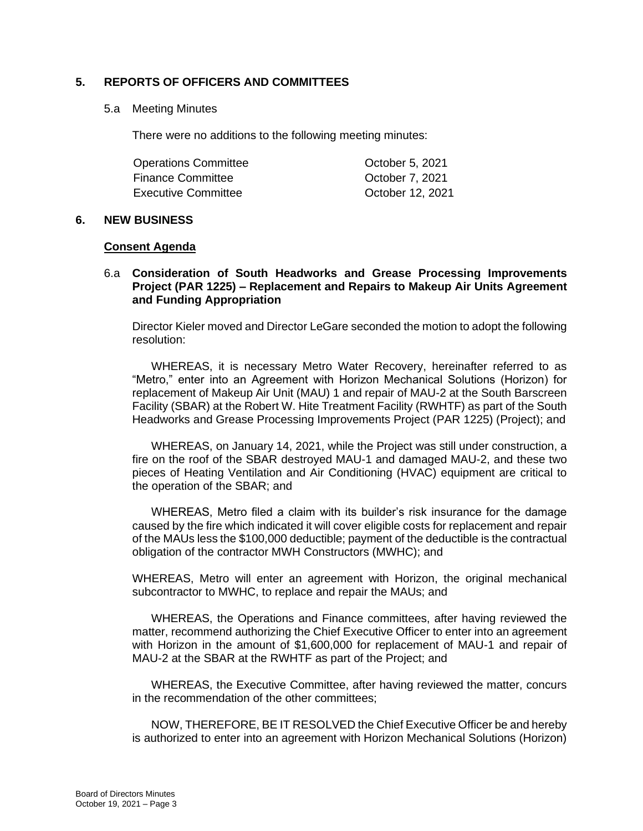# **5. REPORTS OF OFFICERS AND COMMITTEES**

## 5.a Meeting Minutes

There were no additions to the following meeting minutes:

| <b>Operations Committee</b> | October 5, 2021  |
|-----------------------------|------------------|
| <b>Finance Committee</b>    | October 7, 2021  |
| Executive Committee         | October 12, 2021 |

### **6. NEW BUSINESS**

### **Consent Agenda**

# 6.a **Consideration of South Headworks and Grease Processing Improvements Project (PAR 1225) – Replacement and Repairs to Makeup Air Units Agreement and Funding Appropriation**

Director Kieler moved and Director LeGare seconded the motion to adopt the following resolution:

WHEREAS, it is necessary Metro Water Recovery, hereinafter referred to as "Metro," enter into an Agreement with Horizon Mechanical Solutions (Horizon) for replacement of Makeup Air Unit (MAU) 1 and repair of MAU-2 at the South Barscreen Facility (SBAR) at the Robert W. Hite Treatment Facility (RWHTF) as part of the South Headworks and Grease Processing Improvements Project (PAR 1225) (Project); and

WHEREAS, on January 14, 2021, while the Project was still under construction, a fire on the roof of the SBAR destroyed MAU-1 and damaged MAU-2, and these two pieces of Heating Ventilation and Air Conditioning (HVAC) equipment are critical to the operation of the SBAR; and

WHEREAS, Metro filed a claim with its builder's risk insurance for the damage caused by the fire which indicated it will cover eligible costs for replacement and repair of the MAUs less the \$100,000 deductible; payment of the deductible is the contractual obligation of the contractor MWH Constructors (MWHC); and

WHEREAS, Metro will enter an agreement with Horizon, the original mechanical subcontractor to MWHC, to replace and repair the MAUs; and

WHEREAS, the Operations and Finance committees, after having reviewed the matter, recommend authorizing the Chief Executive Officer to enter into an agreement with Horizon in the amount of \$1,600,000 for replacement of MAU-1 and repair of MAU-2 at the SBAR at the RWHTF as part of the Project; and

WHEREAS, the Executive Committee, after having reviewed the matter, concurs in the recommendation of the other committees;

NOW, THEREFORE, BE IT RESOLVED the Chief Executive Officer be and hereby is authorized to enter into an agreement with Horizon Mechanical Solutions (Horizon)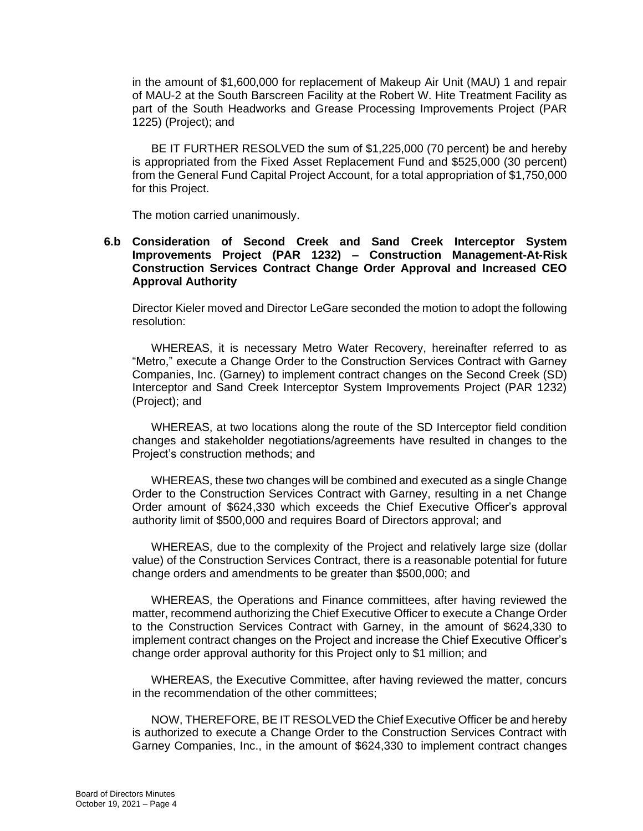in the amount of \$1,600,000 for replacement of Makeup Air Unit (MAU) 1 and repair of MAU-2 at the South Barscreen Facility at the Robert W. Hite Treatment Facility as part of the South Headworks and Grease Processing Improvements Project (PAR 1225) (Project); and

BE IT FURTHER RESOLVED the sum of \$1,225,000 (70 percent) be and hereby is appropriated from the Fixed Asset Replacement Fund and \$525,000 (30 percent) from the General Fund Capital Project Account, for a total appropriation of \$1,750,000 for this Project.

The motion carried unanimously.

# **6.b Consideration of Second Creek and Sand Creek Interceptor System Improvements Project (PAR 1232) – Construction Management-At-Risk Construction Services Contract Change Order Approval and Increased CEO Approval Authority**

Director Kieler moved and Director LeGare seconded the motion to adopt the following resolution:

WHEREAS, it is necessary Metro Water Recovery, hereinafter referred to as "Metro," execute a Change Order to the Construction Services Contract with Garney Companies, Inc. (Garney) to implement contract changes on the Second Creek (SD) Interceptor and Sand Creek Interceptor System Improvements Project (PAR 1232) (Project); and

WHEREAS, at two locations along the route of the SD Interceptor field condition changes and stakeholder negotiations/agreements have resulted in changes to the Project's construction methods; and

WHEREAS, these two changes will be combined and executed as a single Change Order to the Construction Services Contract with Garney, resulting in a net Change Order amount of \$624,330 which exceeds the Chief Executive Officer's approval authority limit of \$500,000 and requires Board of Directors approval; and

WHEREAS, due to the complexity of the Project and relatively large size (dollar value) of the Construction Services Contract, there is a reasonable potential for future change orders and amendments to be greater than \$500,000; and

WHEREAS, the Operations and Finance committees, after having reviewed the matter, recommend authorizing the Chief Executive Officer to execute a Change Order to the Construction Services Contract with Garney, in the amount of \$624,330 to implement contract changes on the Project and increase the Chief Executive Officer's change order approval authority for this Project only to \$1 million; and

WHEREAS, the Executive Committee, after having reviewed the matter, concurs in the recommendation of the other committees;

NOW, THEREFORE, BE IT RESOLVED the Chief Executive Officer be and hereby is authorized to execute a Change Order to the Construction Services Contract with Garney Companies, Inc., in the amount of \$624,330 to implement contract changes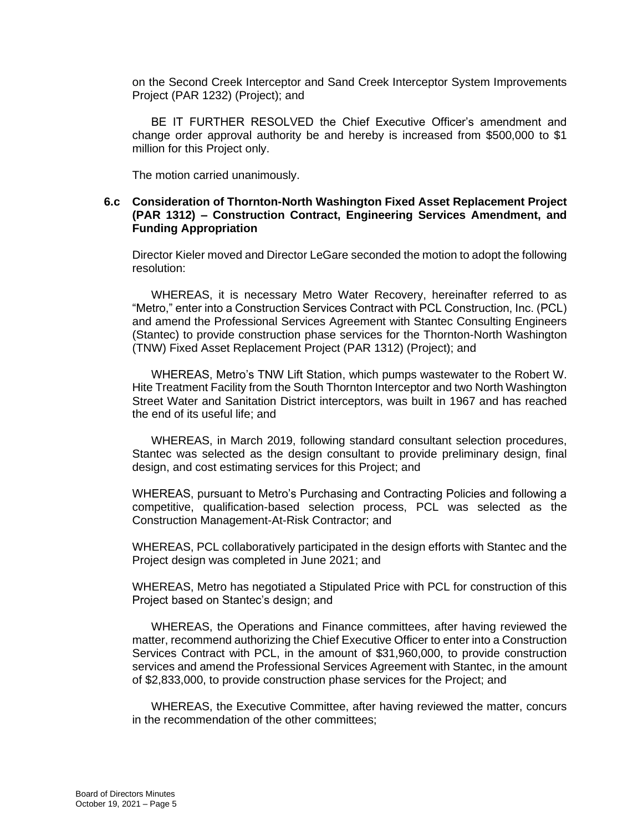on the Second Creek Interceptor and Sand Creek Interceptor System Improvements Project (PAR 1232) (Project); and

BE IT FURTHER RESOLVED the Chief Executive Officer's amendment and change order approval authority be and hereby is increased from \$500,000 to \$1 million for this Project only.

The motion carried unanimously.

# **6.c Consideration of Thornton-North Washington Fixed Asset Replacement Project (PAR 1312) – Construction Contract, Engineering Services Amendment, and Funding Appropriation**

Director Kieler moved and Director LeGare seconded the motion to adopt the following resolution:

WHEREAS, it is necessary Metro Water Recovery, hereinafter referred to as "Metro," enter into a Construction Services Contract with PCL Construction, Inc. (PCL) and amend the Professional Services Agreement with Stantec Consulting Engineers (Stantec) to provide construction phase services for the Thornton-North Washington (TNW) Fixed Asset Replacement Project (PAR 1312) (Project); and

WHEREAS, Metro's TNW Lift Station, which pumps wastewater to the Robert W. Hite Treatment Facility from the South Thornton Interceptor and two North Washington Street Water and Sanitation District interceptors, was built in 1967 and has reached the end of its useful life; and

WHEREAS, in March 2019, following standard consultant selection procedures, Stantec was selected as the design consultant to provide preliminary design, final design, and cost estimating services for this Project; and

WHEREAS, pursuant to Metro's Purchasing and Contracting Policies and following a competitive, qualification-based selection process, PCL was selected as the Construction Management-At-Risk Contractor; and

WHEREAS, PCL collaboratively participated in the design efforts with Stantec and the Project design was completed in June 2021; and

WHEREAS, Metro has negotiated a Stipulated Price with PCL for construction of this Project based on Stantec's design; and

WHEREAS, the Operations and Finance committees, after having reviewed the matter, recommend authorizing the Chief Executive Officer to enter into a Construction Services Contract with PCL, in the amount of \$31,960,000, to provide construction services and amend the Professional Services Agreement with Stantec, in the amount of \$2,833,000, to provide construction phase services for the Project; and

WHEREAS, the Executive Committee, after having reviewed the matter, concurs in the recommendation of the other committees;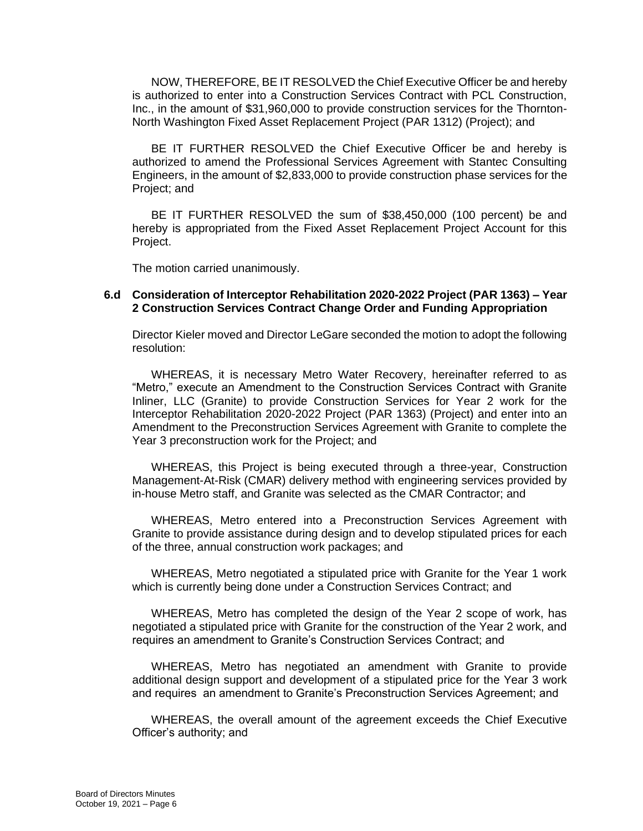NOW, THEREFORE, BE IT RESOLVED the Chief Executive Officer be and hereby is authorized to enter into a Construction Services Contract with PCL Construction, Inc., in the amount of \$31,960,000 to provide construction services for the Thornton-North Washington Fixed Asset Replacement Project (PAR 1312) (Project); and

BE IT FURTHER RESOLVED the Chief Executive Officer be and hereby is authorized to amend the Professional Services Agreement with Stantec Consulting Engineers, in the amount of \$2,833,000 to provide construction phase services for the Project; and

BE IT FURTHER RESOLVED the sum of \$38,450,000 (100 percent) be and hereby is appropriated from the Fixed Asset Replacement Project Account for this Project.

The motion carried unanimously.

# **6.d Consideration of Interceptor Rehabilitation 2020-2022 Project (PAR 1363) – Year 2 Construction Services Contract Change Order and Funding Appropriation**

Director Kieler moved and Director LeGare seconded the motion to adopt the following resolution:

WHEREAS, it is necessary Metro Water Recovery, hereinafter referred to as "Metro," execute an Amendment to the Construction Services Contract with Granite Inliner, LLC (Granite) to provide Construction Services for Year 2 work for the Interceptor Rehabilitation 2020-2022 Project (PAR 1363) (Project) and enter into an Amendment to the Preconstruction Services Agreement with Granite to complete the Year 3 preconstruction work for the Project; and

WHEREAS, this Project is being executed through a three-year, Construction Management-At-Risk (CMAR) delivery method with engineering services provided by in-house Metro staff, and Granite was selected as the CMAR Contractor; and

WHEREAS, Metro entered into a Preconstruction Services Agreement with Granite to provide assistance during design and to develop stipulated prices for each of the three, annual construction work packages; and

WHEREAS, Metro negotiated a stipulated price with Granite for the Year 1 work which is currently being done under a Construction Services Contract; and

WHEREAS, Metro has completed the design of the Year 2 scope of work, has negotiated a stipulated price with Granite for the construction of the Year 2 work, and requires an amendment to Granite's Construction Services Contract; and

WHEREAS, Metro has negotiated an amendment with Granite to provide additional design support and development of a stipulated price for the Year 3 work and requires an amendment to Granite's Preconstruction Services Agreement; and

WHEREAS, the overall amount of the agreement exceeds the Chief Executive Officer's authority; and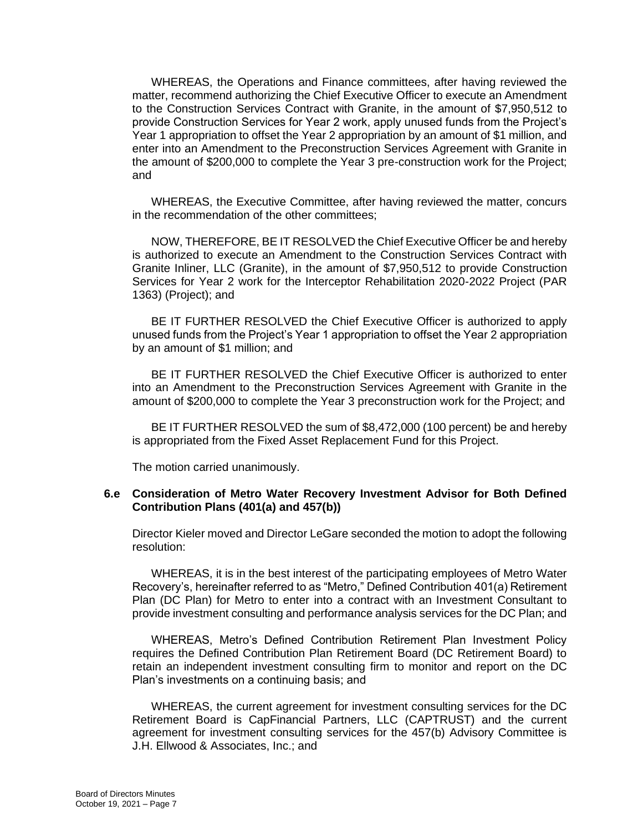WHEREAS, the Operations and Finance committees, after having reviewed the matter, recommend authorizing the Chief Executive Officer to execute an Amendment to the Construction Services Contract with Granite, in the amount of \$7,950,512 to provide Construction Services for Year 2 work, apply unused funds from the Project's Year 1 appropriation to offset the Year 2 appropriation by an amount of \$1 million, and enter into an Amendment to the Preconstruction Services Agreement with Granite in the amount of \$200,000 to complete the Year 3 pre-construction work for the Project; and

WHEREAS, the Executive Committee, after having reviewed the matter, concurs in the recommendation of the other committees;

NOW, THEREFORE, BE IT RESOLVED the Chief Executive Officer be and hereby is authorized to execute an Amendment to the Construction Services Contract with Granite Inliner, LLC (Granite), in the amount of \$7,950,512 to provide Construction Services for Year 2 work for the Interceptor Rehabilitation 2020-2022 Project (PAR 1363) (Project); and

BE IT FURTHER RESOLVED the Chief Executive Officer is authorized to apply unused funds from the Project's Year 1 appropriation to offset the Year 2 appropriation by an amount of \$1 million; and

BE IT FURTHER RESOLVED the Chief Executive Officer is authorized to enter into an Amendment to the Preconstruction Services Agreement with Granite in the amount of \$200,000 to complete the Year 3 preconstruction work for the Project; and

BE IT FURTHER RESOLVED the sum of \$8,472,000 (100 percent) be and hereby is appropriated from the Fixed Asset Replacement Fund for this Project.

The motion carried unanimously.

### **6.e Consideration of Metro Water Recovery Investment Advisor for Both Defined Contribution Plans (401(a) and 457(b))**

Director Kieler moved and Director LeGare seconded the motion to adopt the following resolution:

WHEREAS, it is in the best interest of the participating employees of Metro Water Recovery's, hereinafter referred to as "Metro," Defined Contribution 401(a) Retirement Plan (DC Plan) for Metro to enter into a contract with an Investment Consultant to provide investment consulting and performance analysis services for the DC Plan; and

WHEREAS, Metro's Defined Contribution Retirement Plan Investment Policy requires the Defined Contribution Plan Retirement Board (DC Retirement Board) to retain an independent investment consulting firm to monitor and report on the DC Plan's investments on a continuing basis; and

WHEREAS, the current agreement for investment consulting services for the DC Retirement Board is CapFinancial Partners, LLC (CAPTRUST) and the current agreement for investment consulting services for the 457(b) Advisory Committee is J.H. Ellwood & Associates, Inc.; and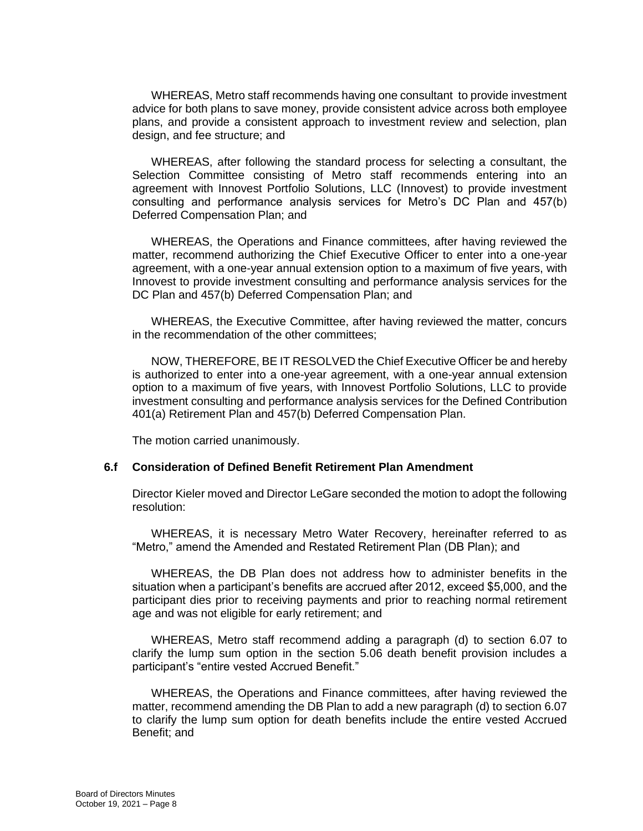WHEREAS, Metro staff recommends having one consultant to provide investment advice for both plans to save money, provide consistent advice across both employee plans, and provide a consistent approach to investment review and selection, plan design, and fee structure; and

WHEREAS, after following the standard process for selecting a consultant, the Selection Committee consisting of Metro staff recommends entering into an agreement with Innovest Portfolio Solutions, LLC (Innovest) to provide investment consulting and performance analysis services for Metro's DC Plan and 457(b) Deferred Compensation Plan; and

WHEREAS, the Operations and Finance committees, after having reviewed the matter, recommend authorizing the Chief Executive Officer to enter into a one-year agreement, with a one-year annual extension option to a maximum of five years, with Innovest to provide investment consulting and performance analysis services for the DC Plan and 457(b) Deferred Compensation Plan; and

WHEREAS, the Executive Committee, after having reviewed the matter, concurs in the recommendation of the other committees;

NOW, THEREFORE, BE IT RESOLVED the Chief Executive Officer be and hereby is authorized to enter into a one-year agreement, with a one-year annual extension option to a maximum of five years, with Innovest Portfolio Solutions, LLC to provide investment consulting and performance analysis services for the Defined Contribution 401(a) Retirement Plan and 457(b) Deferred Compensation Plan.

The motion carried unanimously.

# **6.f Consideration of Defined Benefit Retirement Plan Amendment**

Director Kieler moved and Director LeGare seconded the motion to adopt the following resolution:

WHEREAS, it is necessary Metro Water Recovery, hereinafter referred to as "Metro," amend the Amended and Restated Retirement Plan (DB Plan); and

WHEREAS, the DB Plan does not address how to administer benefits in the situation when a participant's benefits are accrued after 2012, exceed \$5,000, and the participant dies prior to receiving payments and prior to reaching normal retirement age and was not eligible for early retirement; and

WHEREAS, Metro staff recommend adding a paragraph (d) to section 6.07 to clarify the lump sum option in the section 5.06 death benefit provision includes a participant's "entire vested Accrued Benefit."

WHEREAS, the Operations and Finance committees, after having reviewed the matter, recommend amending the DB Plan to add a new paragraph (d) to section 6.07 to clarify the lump sum option for death benefits include the entire vested Accrued Benefit; and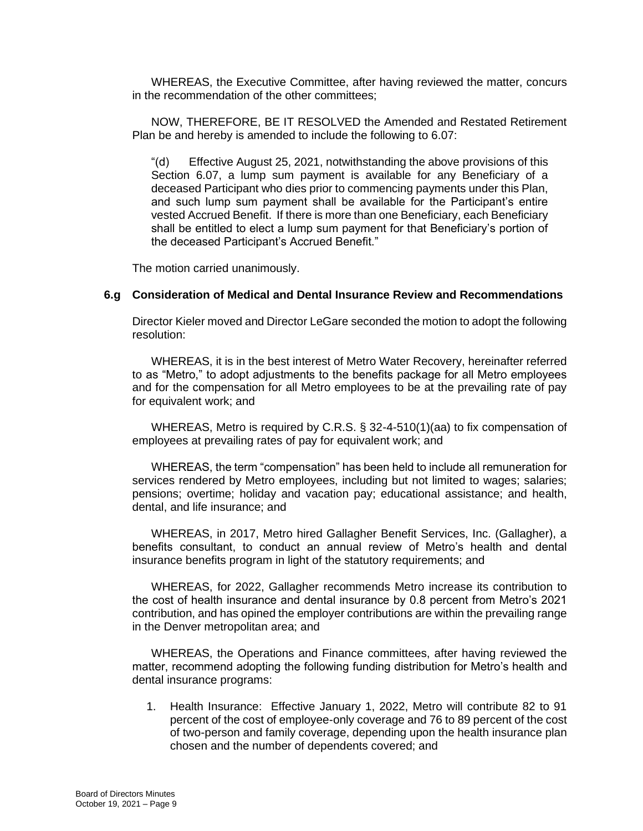WHEREAS, the Executive Committee, after having reviewed the matter, concurs in the recommendation of the other committees;

NOW, THEREFORE, BE IT RESOLVED the Amended and Restated Retirement Plan be and hereby is amended to include the following to 6.07:

"(d) Effective August 25, 2021, notwithstanding the above provisions of this Section 6.07, a lump sum payment is available for any Beneficiary of a deceased Participant who dies prior to commencing payments under this Plan, and such lump sum payment shall be available for the Participant's entire vested Accrued Benefit. If there is more than one Beneficiary, each Beneficiary shall be entitled to elect a lump sum payment for that Beneficiary's portion of the deceased Participant's Accrued Benefit."

The motion carried unanimously.

### **6.g Consideration of Medical and Dental Insurance Review and Recommendations**

Director Kieler moved and Director LeGare seconded the motion to adopt the following resolution:

WHEREAS, it is in the best interest of Metro Water Recovery, hereinafter referred to as "Metro," to adopt adjustments to the benefits package for all Metro employees and for the compensation for all Metro employees to be at the prevailing rate of pay for equivalent work; and

WHEREAS, Metro is required by C.R.S. § 32-4-510(1)(aa) to fix compensation of employees at prevailing rates of pay for equivalent work; and

WHEREAS, the term "compensation" has been held to include all remuneration for services rendered by Metro employees, including but not limited to wages; salaries; pensions; overtime; holiday and vacation pay; educational assistance; and health, dental, and life insurance; and

WHEREAS, in 2017, Metro hired Gallagher Benefit Services, Inc. (Gallagher), a benefits consultant, to conduct an annual review of Metro's health and dental insurance benefits program in light of the statutory requirements; and

WHEREAS, for 2022, Gallagher recommends Metro increase its contribution to the cost of health insurance and dental insurance by 0.8 percent from Metro's 2021 contribution, and has opined the employer contributions are within the prevailing range in the Denver metropolitan area; and

WHEREAS, the Operations and Finance committees, after having reviewed the matter, recommend adopting the following funding distribution for Metro's health and dental insurance programs:

1. Health Insurance: Effective January 1, 2022, Metro will contribute 82 to 91 percent of the cost of employee-only coverage and 76 to 89 percent of the cost of two-person and family coverage, depending upon the health insurance plan chosen and the number of dependents covered; and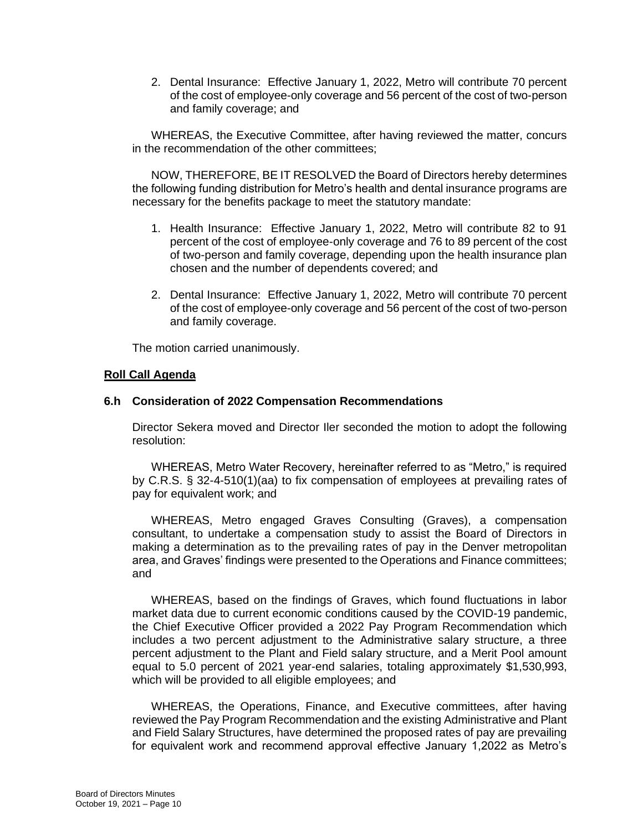2. Dental Insurance: Effective January 1, 2022, Metro will contribute 70 percent of the cost of employee-only coverage and 56 percent of the cost of two-person and family coverage; and

WHEREAS, the Executive Committee, after having reviewed the matter, concurs in the recommendation of the other committees;

NOW, THEREFORE, BE IT RESOLVED the Board of Directors hereby determines the following funding distribution for Metro's health and dental insurance programs are necessary for the benefits package to meet the statutory mandate:

- 1. Health Insurance: Effective January 1, 2022, Metro will contribute 82 to 91 percent of the cost of employee-only coverage and 76 to 89 percent of the cost of two-person and family coverage, depending upon the health insurance plan chosen and the number of dependents covered; and
- 2. Dental Insurance: Effective January 1, 2022, Metro will contribute 70 percent of the cost of employee-only coverage and 56 percent of the cost of two-person and family coverage.

The motion carried unanimously.

# **Roll Call Agenda**

### **6.h Consideration of 2022 Compensation Recommendations**

Director Sekera moved and Director Iler seconded the motion to adopt the following resolution:

WHEREAS, Metro Water Recovery, hereinafter referred to as "Metro," is required by C.R.S. § 32-4-510(1)(aa) to fix compensation of employees at prevailing rates of pay for equivalent work; and

WHEREAS, Metro engaged Graves Consulting (Graves), a compensation consultant, to undertake a compensation study to assist the Board of Directors in making a determination as to the prevailing rates of pay in the Denver metropolitan area, and Graves' findings were presented to the Operations and Finance committees; and

WHEREAS, based on the findings of Graves, which found fluctuations in labor market data due to current economic conditions caused by the COVID-19 pandemic, the Chief Executive Officer provided a 2022 Pay Program Recommendation which includes a two percent adjustment to the Administrative salary structure, a three percent adjustment to the Plant and Field salary structure, and a Merit Pool amount equal to 5.0 percent of 2021 year-end salaries, totaling approximately \$1,530,993, which will be provided to all eligible employees; and

WHEREAS, the Operations, Finance, and Executive committees, after having reviewed the Pay Program Recommendation and the existing Administrative and Plant and Field Salary Structures, have determined the proposed rates of pay are prevailing for equivalent work and recommend approval effective January 1,2022 as Metro's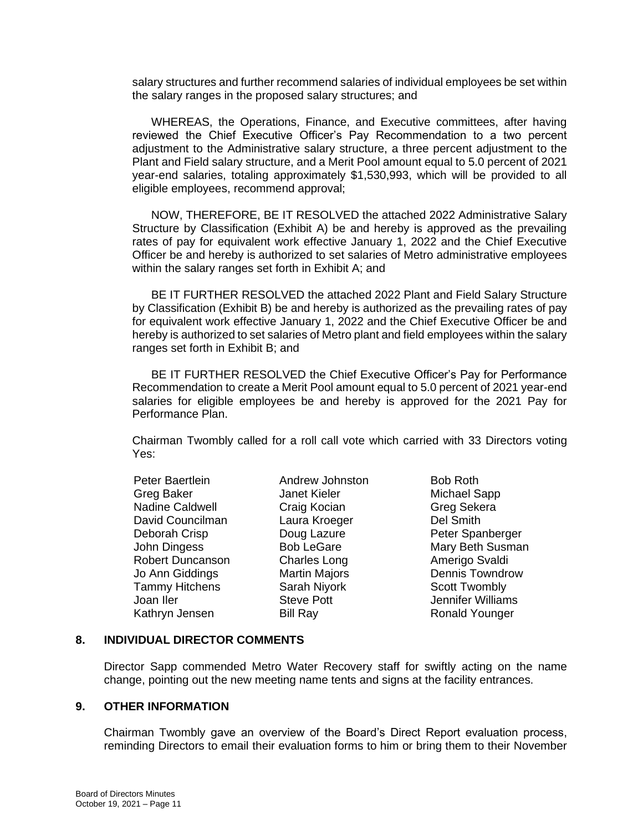salary structures and further recommend salaries of individual employees be set within the salary ranges in the proposed salary structures; and

WHEREAS, the Operations, Finance, and Executive committees, after having reviewed the Chief Executive Officer's Pay Recommendation to a two percent adjustment to the Administrative salary structure, a three percent adjustment to the Plant and Field salary structure, and a Merit Pool amount equal to 5.0 percent of 2021 year-end salaries, totaling approximately \$1,530,993, which will be provided to all eligible employees, recommend approval;

NOW, THEREFORE, BE IT RESOLVED the attached 2022 Administrative Salary Structure by Classification (Exhibit A) be and hereby is approved as the prevailing rates of pay for equivalent work effective January 1, 2022 and the Chief Executive Officer be and hereby is authorized to set salaries of Metro administrative employees within the salary ranges set forth in Exhibit A; and

BE IT FURTHER RESOLVED the attached 2022 Plant and Field Salary Structure by Classification (Exhibit B) be and hereby is authorized as the prevailing rates of pay for equivalent work effective January 1, 2022 and the Chief Executive Officer be and hereby is authorized to set salaries of Metro plant and field employees within the salary ranges set forth in Exhibit B; and

BE IT FURTHER RESOLVED the Chief Executive Officer's Pay for Performance Recommendation to create a Merit Pool amount equal to 5.0 percent of 2021 year-end salaries for eligible employees be and hereby is approved for the 2021 Pay for Performance Plan.

Chairman Twombly called for a roll call vote which carried with 33 Directors voting Yes:

Peter Baertlein **Andrew Johnston** Bob Roth Greg Baker **Janet Kieler** Michael Sapp Nadine Caldwell **Craig Kocian** Greg Sekera David Councilman Laura Kroeger Del Smith Deborah Crisp **Doug Lazure** Peter Spanberger John Dingess **Bob LeGare** Mary Beth Susman Robert Duncanson Charles Long Charles Amerigo Svaldi Jo Ann Giddings **Martin Majors** Dennis Towndrow Tammy Hitchens Sarah Niyork Scott Twombly Joan Iler **Steve Pott** Steve Pott Jennifer Williams Kathryn Jensen Bill Ray **Ronald Younger** Ronald Younger

#### **8. INDIVIDUAL DIRECTOR COMMENTS**

Director Sapp commended Metro Water Recovery staff for swiftly acting on the name change, pointing out the new meeting name tents and signs at the facility entrances.

#### **9. OTHER INFORMATION**

Chairman Twombly gave an overview of the Board's Direct Report evaluation process, reminding Directors to email their evaluation forms to him or bring them to their November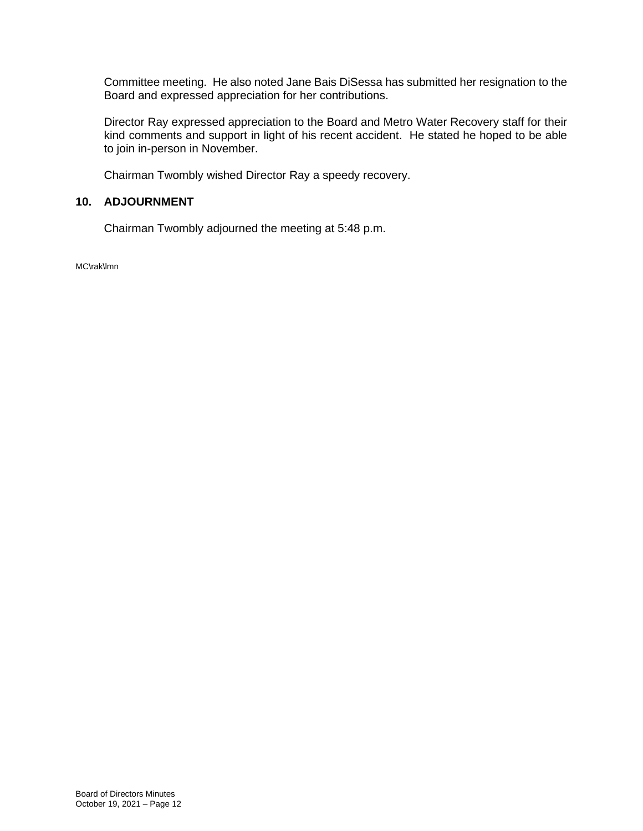Committee meeting. He also noted Jane Bais DiSessa has submitted her resignation to the Board and expressed appreciation for her contributions.

Director Ray expressed appreciation to the Board and Metro Water Recovery staff for their kind comments and support in light of his recent accident. He stated he hoped to be able to join in-person in November.

Chairman Twombly wished Director Ray a speedy recovery.

# **10. ADJOURNMENT**

Chairman Twombly adjourned the meeting at 5:48 p.m.

MC\rak\lmn